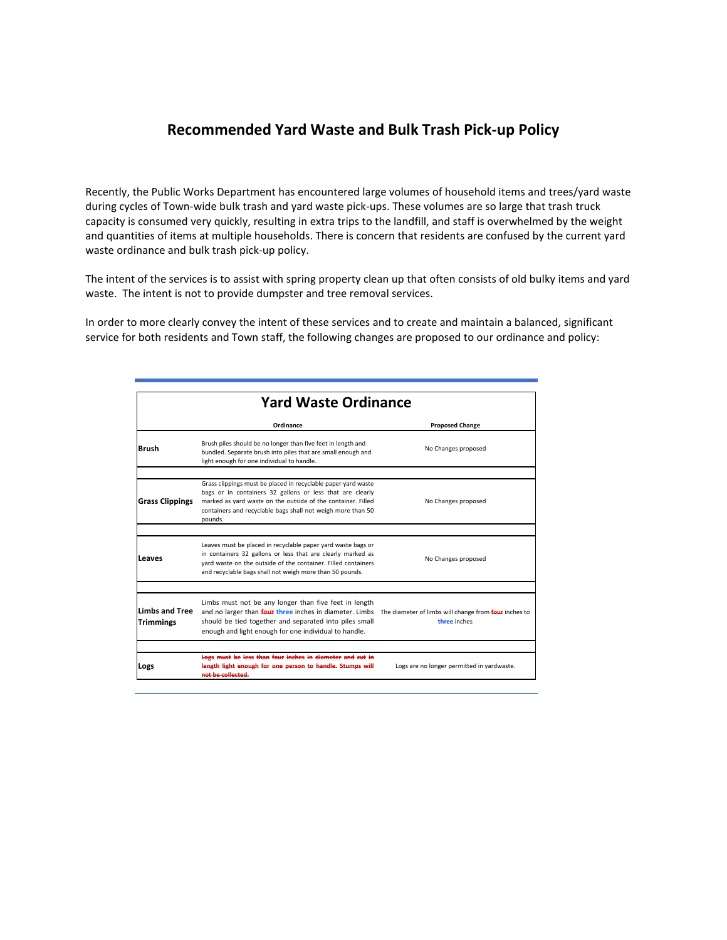#### **Recommended Yard Waste and Bulk Trash Pick-up Policy**

Recently, the Public Works Department has encountered large volumes of household items and trees/yard waste during cycles of Town-wide bulk trash and yard waste pick-ups. These volumes are so large that trash truck capacity is consumed very quickly, resulting in extra trips to the landfill, and staff is overwhelmed by the weight and quantities of items at multiple households. There is concern that residents are confused by the current yard waste ordinance and bulk trash pick-up policy.

The intent of the services is to assist with spring property clean up that often consists of old bulky items and yard waste. The intent is not to provide dumpster and tree removal services.

In order to more clearly convey the intent of these services and to create and maintain a balanced, significant service for both residents and Town staff, the following changes are proposed to our ordinance and policy:

| <b>Yard Waste Ordinance</b>               |                                                                                                                                                                                                                                                                                                  |                                            |
|-------------------------------------------|--------------------------------------------------------------------------------------------------------------------------------------------------------------------------------------------------------------------------------------------------------------------------------------------------|--------------------------------------------|
|                                           | Ordinance                                                                                                                                                                                                                                                                                        | <b>Proposed Change</b>                     |
| <b>Brush</b>                              | Brush piles should be no longer than five feet in length and<br>bundled. Separate brush into piles that are small enough and<br>light enough for one individual to handle.                                                                                                                       | No Changes proposed                        |
| <b>Grass Clippings</b>                    | Grass clippings must be placed in recyclable paper yard waste<br>bags or in containers 32 gallons or less that are clearly<br>marked as yard waste on the outside of the container. Filled<br>containers and recyclable bags shall not weigh more than 50<br>pounds.                             | No Changes proposed                        |
| Leaves                                    | Leaves must be placed in recyclable paper yard waste bags or<br>in containers 32 gallons or less that are clearly marked as<br>vard waste on the outside of the container. Filled containers<br>and recyclable bags shall not weigh more than 50 pounds.                                         | No Changes proposed                        |
|                                           |                                                                                                                                                                                                                                                                                                  |                                            |
| <b>Limbs and Tree</b><br><b>Trimmings</b> | Limbs must not be any longer than five feet in length<br>and no larger than <b>four three</b> inches in diameter. Limbs The diameter of limbs will change from four inches to<br>should be tied together and separated into piles small<br>enough and light enough for one individual to handle. | three inches                               |
|                                           | Logs must be less than four inches in diameter and cut in                                                                                                                                                                                                                                        |                                            |
| Logs                                      | length light enough for one person to handle. Stumps will<br>not be collected.                                                                                                                                                                                                                   | Logs are no longer permitted in yardwaste. |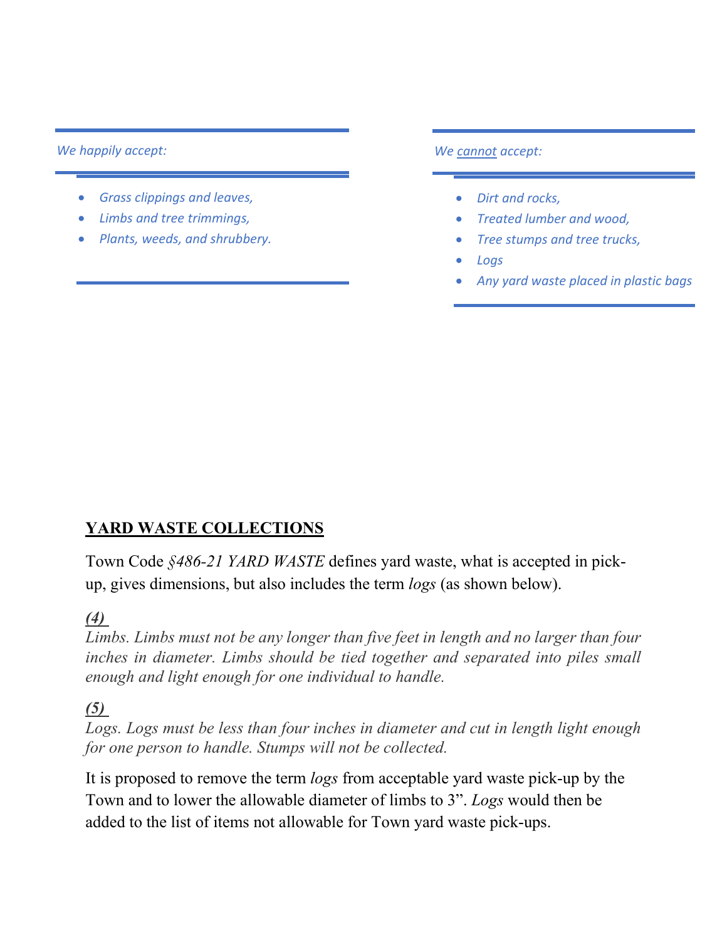#### *We happily accept:*

- *Grass clippings and leaves,*
- *Limbs and tree trimmings,*
- *Plants, weeds, and shrubbery.*

*We cannot accept:*

- *Dirt and rocks,*
- *Treated lumber and wood,*
- *Tree stumps and tree trucks,*
- *Logs*
- *Any yard waste placed in plastic bags*

# **YARD WASTE COLLECTIONS**

Town Code *§486-21 YARD WASTE* defines yard waste, what is accepted in pickup, gives dimensions, but also includes the term *logs* (as shown below).

### *[\(4\)](https://ecode360.com/27725318#27725318)*

*Limbs. Limbs must not be any longer than five feet in length and no larger than four inches in diameter. Limbs should be tied together and separated into piles small enough and light enough for one individual to handle.*

### *[\(5\)](https://ecode360.com/27725319#27725319)*

Logs. Logs must be less than four inches in diameter and cut in length light enough *for one person to handle. Stumps will not be collected.*

It is proposed to remove the term *logs* from acceptable yard waste pick-up by the Town and to lower the allowable diameter of limbs to 3". *Logs* would then be added to the list of items not allowable for Town yard waste pick-ups.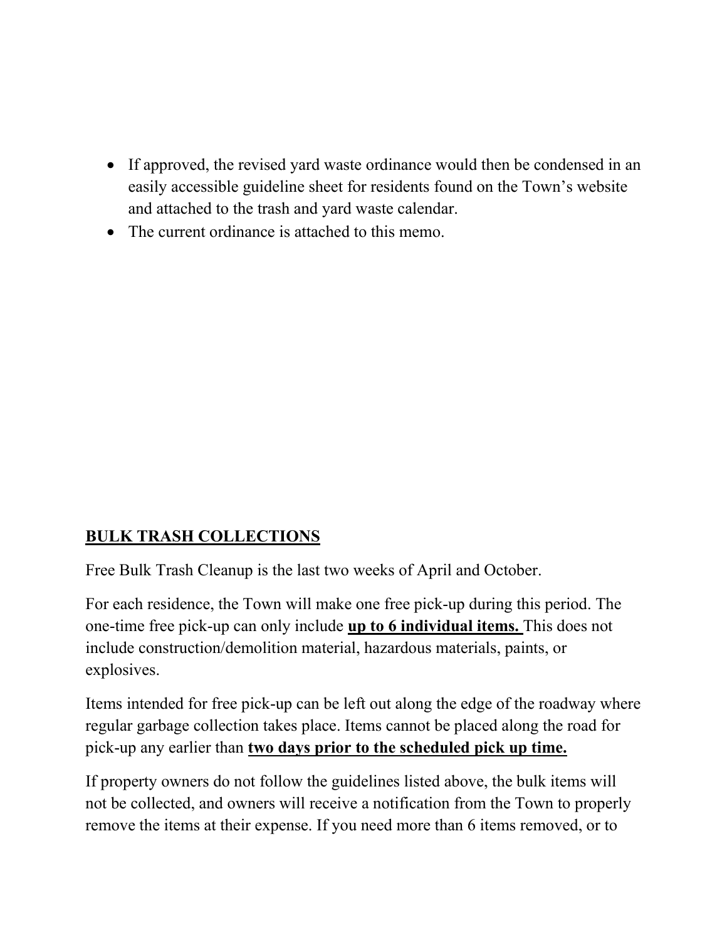- If approved, the revised yard waste ordinance would then be condensed in an easily accessible guideline sheet for residents found on the Town's website and attached to the trash and yard waste calendar.
- The current ordinance is attached to this memo.

# **BULK TRASH COLLECTIONS**

Free Bulk Trash Cleanup is the last two weeks of April and October.

For each residence, the Town will make one free pick-up during this period. The one-time free pick-up can only include **up to 6 individual items.** This does not include construction/demolition material, hazardous materials, paints, or explosives.

Items intended for free pick-up can be left out along the edge of the roadway where regular garbage collection takes place. Items cannot be placed along the road for pick-up any earlier than **two days prior to the scheduled pick up time.**

If property owners do not follow the guidelines listed above, the bulk items will not be collected, and owners will receive a notification from the Town to properly remove the items at their expense. If you need more than 6 items removed, or to